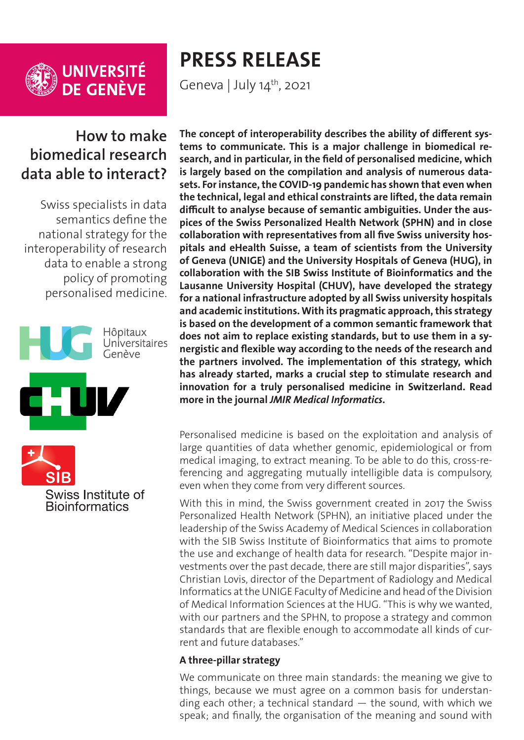

**UNIVERSITÉ<br>DE GENÈVE** 

# **PRESS RELEASE**

Geneva | July  $14^{\text{th}}$ , 2021

# **How to make biomedical research data able to interact?**

Swiss specialists in data semantics define the national strategy for the interoperability of research data to enable a strong policy of promoting personalised medicine.



Swiss Institute of **Bioinformatics** 

**The concept of interoperability describes the ability of different systems to communicate. This is a major challenge in biomedical research, and in particular, in the field of personalised medicine, which is largely based on the compilation and analysis of numerous datasets. For instance, the COVID-19 pandemic has shown that even when the technical, legal and ethical constraints are lifted, the data remain difficult to analyse because of semantic ambiguities. Under the auspices of the Swiss Personalized Health Network (SPHN) and in close collaboration with representatives from all five Swiss university hospitals and eHealth Suisse, a team of scientists from the University of Geneva (UNIGE) and the University Hospitals of Geneva (HUG), in collaboration with the SIB Swiss Institute of Bioinformatics and the Lausanne University Hospital (CHUV), have developed the strategy for a national infrastructure adopted by all Swiss university hospitals and academic institutions. With its pragmatic approach, this strategy is based on the development of a common semantic framework that does not aim to replace existing standards, but to use them in a synergistic and flexible way according to the needs of the research and the partners involved. The implementation of this strategy, which has already started, marks a crucial step to stimulate research and innovation for a truly personalised medicine in Switzerland. Read more in the journal** *JMIR Medical Informatics***.**

Personalised medicine is based on the exploitation and analysis of large quantities of data whether genomic, epidemiological or from medical imaging, to extract meaning. To be able to do this, cross-referencing and aggregating mutually intelligible data is compulsory, even when they come from very different sources.

With this in mind, the Swiss government created in 2017 the Swiss Personalized Health Network (SPHN), an initiative placed under the leadership of the Swiss Academy of Medical Sciences in collaboration with the SIB Swiss Institute of Bioinformatics that aims to promote the use and exchange of health data for research. "Despite major investments over the past decade, there are still major disparities", says Christian Lovis, director of the Department of Radiology and Medical Informatics at the UNIGE Faculty of Medicine and head of the Division of Medical Information Sciences at the HUG. "This is why we wanted, with our partners and the SPHN, to propose a strategy and common standards that are flexible enough to accommodate all kinds of current and future databases."

### **A three-pillar strategy**

We communicate on three main standards: the meaning we give to things, because we must agree on a common basis for understanding each other; a technical standard  $-$  the sound, with which we speak; and finally, the organisation of the meaning and sound with